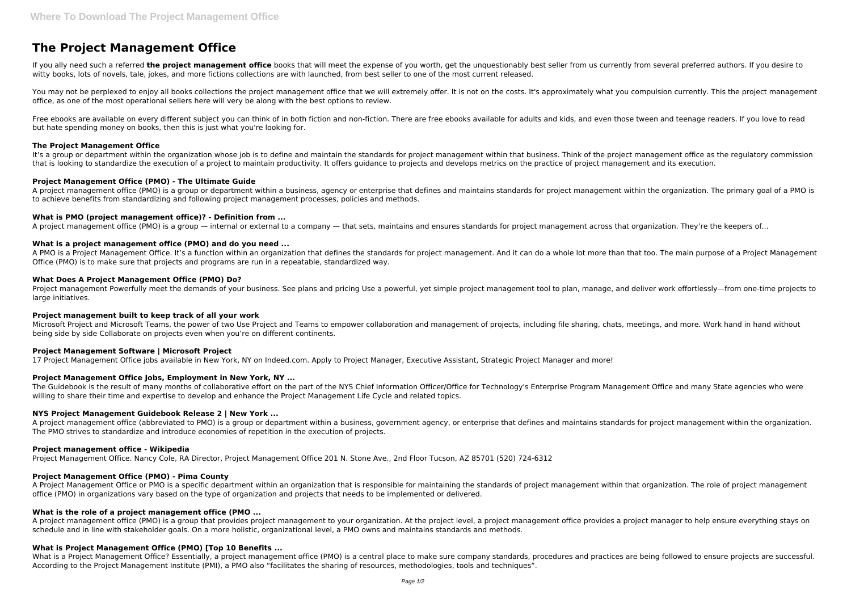# **The Project Management Office**

If you ally need such a referred the project management office books that will meet the expense of you worth, get the unquestionably best seller from us currently from several preferred authors. If you desire to witty books, lots of novels, tale, jokes, and more fictions collections are with launched, from best seller to one of the most current released.

You may not be perplexed to enjoy all books collections the project management office that we will extremely offer. It is not on the costs. It's approximately what you compulsion currently. This the project management office, as one of the most operational sellers here will very be along with the best options to review.

Free ebooks are available on every different subject you can think of in both fiction and non-fiction. There are free ebooks available for adults and kids, and even those tween and teenage readers. If you love to read but hate spending money on books, then this is just what you're looking for.

It's a group or department within the organization whose job is to define and maintain the standards for project management within that business. Think of the project management office as the regulatory commission that is looking to standardize the execution of a project to maintain productivity. It offers guidance to projects and develops metrics on the practice of project management and its execution.

## **The Project Management Office**

A PMO is a Project Management Office. It's a function within an organization that defines the standards for project management. And it can do a whole lot more than that too. The main purpose of a Project Management Office (PMO) is to make sure that projects and programs are run in a repeatable, standardized way.

# **Project Management Office (PMO) - The Ultimate Guide**

A project management office (PMO) is a group or department within a business, agency or enterprise that defines and maintains standards for project management within the organization. The primary goal of a PMO is to achieve benefits from standardizing and following project management processes, policies and methods.

# **What is PMO (project management office)? - Definition from ...**

A project management office (PMO) is a group — internal or external to a company — that sets, maintains and ensures standards for project management across that organization. They're the keepers of...

# **What is a project management office (PMO) and do you need ...**

## **What Does A Project Management Office (PMO) Do?**

A project management office (PMO) is a group that provides project management to your organization. At the project level, a project management office provides a project manager to help ensure everything stays on schedule and in line with stakeholder goals. On a more holistic, organizational level, a PMO owns and maintains standards and methods.

Project management Powerfully meet the demands of your business. See plans and pricing Use a powerful, yet simple project management tool to plan, manage, and deliver work effortlessly—from one-time projects to large initiatives.

What is a Project Management Office? Essentially, a project management office (PMO) is a central place to make sure company standards, procedures and practices are being followed to ensure projects are successful. According to the Project Management Institute (PMI), a PMO also "facilitates the sharing of resources, methodologies, tools and techniques".

#### **Project management built to keep track of all your work**

Microsoft Project and Microsoft Teams, the power of two Use Project and Teams to empower collaboration and management of projects, including file sharing, chats, meetings, and more. Work hand in hand without being side by side Collaborate on projects even when you're on different continents.

# **Project Management Software | Microsoft Project**

17 Project Management Office jobs available in New York, NY on Indeed.com. Apply to Project Manager, Executive Assistant, Strategic Project Manager and more!

# **Project Management Office Jobs, Employment in New York, NY ...**

The Guidebook is the result of many months of collaborative effort on the part of the NYS Chief Information Officer/Office for Technology's Enterprise Program Management Office and many State agencies who were willing to share their time and expertise to develop and enhance the Project Management Life Cycle and related topics.

# **NYS Project Management Guidebook Release 2 | New York ...**

A project management office (abbreviated to PMO) is a group or department within a business, government agency, or enterprise that defines and maintains standards for project management within the organization. The PMO strives to standardize and introduce economies of repetition in the execution of projects.

#### **Project management office - Wikipedia**

Project Management Office. Nancy Cole, RA Director, Project Management Office 201 N. Stone Ave., 2nd Floor Tucson, AZ 85701 (520) 724-6312

# **Project Management Office (PMO) - Pima County**

A Project Management Office or PMO is a specific department within an organization that is responsible for maintaining the standards of project management within that organization. The role of project management office (PMO) in organizations vary based on the type of organization and projects that needs to be implemented or delivered.

# **What is the role of a project management office (PMO ...**

# **What is Project Management Office (PMO) [Top 10 Benefits ...**